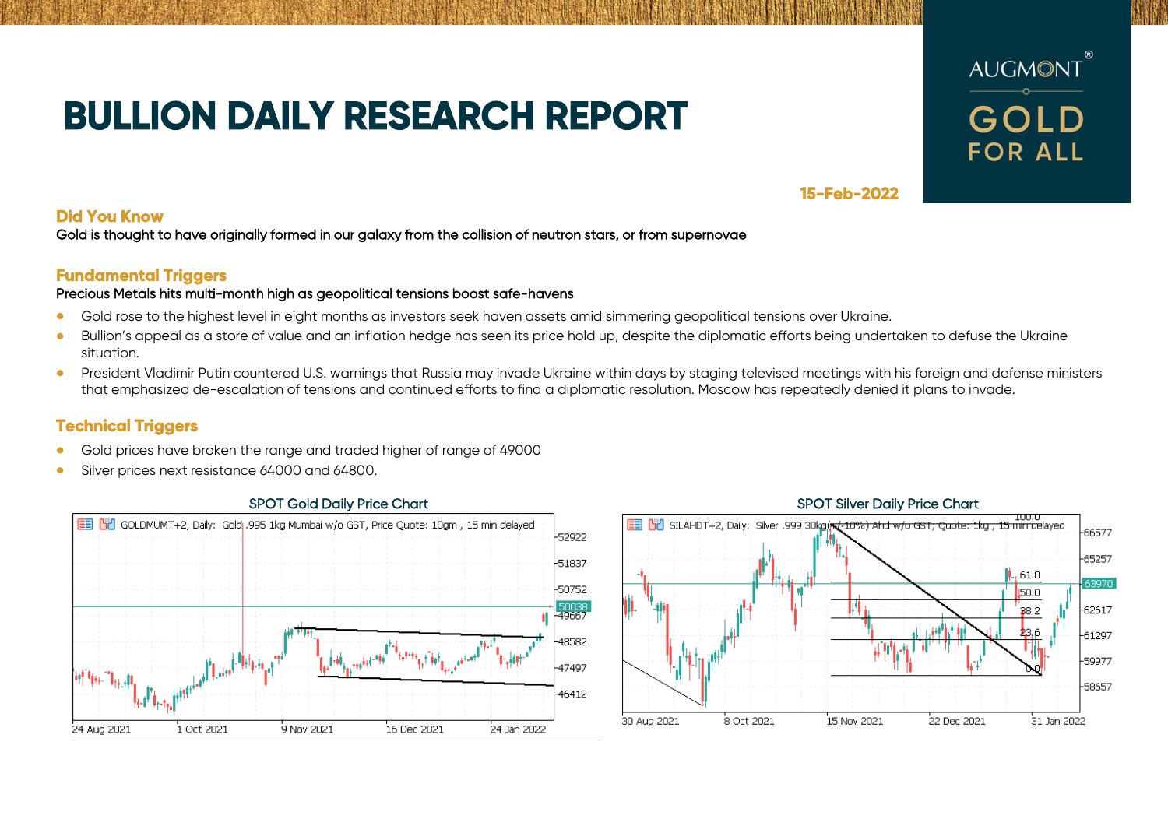# **BULLION DAILY RESEARCH REPORT**



## **15-Feb-2022**

### **Did You Know**

Gold is thought to have originally formed in our galaxy from the collision of neutron stars, or from supernovae

## **Fundamental Triggers**

### Precious Metals hits multi-month high as geopolitical tensions boost safe-havens

- Gold rose to the highest level in eight months as investors seek haven assets amid simmering geopolitical tensions over Ukraine.
- Bullion's appeal as a store of value and an inflation hedge has seen its price hold up, despite the diplomatic efforts being undertaken to defuse the Ukraine situation.
- President Vladimir Putin countered U.S. warnings that Russia may invade Ukraine within days by staging televised meetings with his foreign and defense ministers that emphasized de-escalation of tensions and continued efforts to find a diplomatic resolution. Moscow has repeatedly denied it plans to invade.

## **Technical Triggers**

- Gold prices have broken the range and traded higher of range of 49000
- Silver prices next resistance 64000 and 64800.